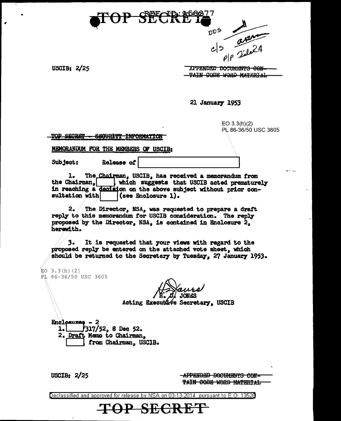



USCIB: 2/25

•

APPENDED DOCUMENTS CON TAIN CODE WORD MATERIAL

21 Januarr 1953

EO 3.3(h)(2) PL 86-36/50 USC 3605

TOP SECRET - SEGURITY INFORMATION

MEMORANDUM FOR THE MEMBERS OF USCIB:

Subject: Release *ot* .\_I \_\_\_\_\_\_\_\_\_\_ I

1. The Chairman, USCIB, has received a memorandum from the Chairman, which suggests that USCIB acted prematurely in reaching a declaion on the above subject without prior con-<br>sultation with  $\vert$  (see Enclosure 1).  $|$  (see Enclosure 1).

2. The Director, NSA, was requested to prepare a dratt reply to this memorandum for USCIB consideration. The reply proposed by the Director,  $NSA_n$  is contained in Enclosure 2. herewith.

3. It is requested that your views with regard to the proposed reply be entered on the attached vote sheet, which should be returned to the Secretary by Tuesday, 27 January 1953.

EO  $3.3(h)$  (2) PL 86-36/50 USC 3605

JON&S

e Secretary, USCIB

 $\frac{Encl{\text{caures}} - 2}{1.}$  /317/  $317/52$ , 8 Dec 52. 2. Draft Memo to Chairman, USC1B.

USCIB: 2/25

**APPENDED BOCUMENTS CON-**TAIN CODE WORD MATERIAL

Declassified and approved for release by NSA on 03-13-2014 pursuant to E. 0. 1352B

**TOP SECRET**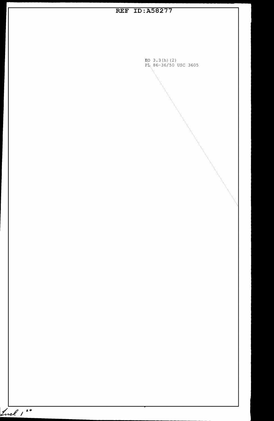**REF ID:A58277**  3. 3 (h) (2) 86-36/50 USC 3605 Incl 124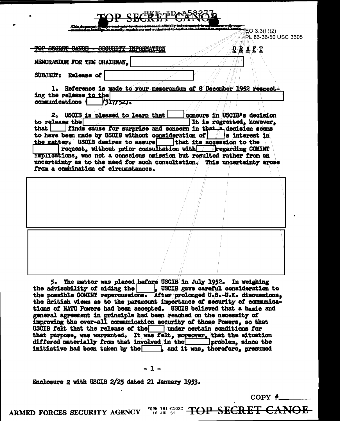| D SECFEF-ID                                                                                                                                                                                                                                                                                                                                                                                                     |
|-----------------------------------------------------------------------------------------------------------------------------------------------------------------------------------------------------------------------------------------------------------------------------------------------------------------------------------------------------------------------------------------------------------------|
| information capacted b<br>undertien intelligen.<br>EO 3.3(h)(2)<br>PL 86-36/50 USC 3605                                                                                                                                                                                                                                                                                                                         |
| TOP SECRET CANOS<br><del>orounity</del><br><del>INFORMATION</del><br><u>D R A F T</u>                                                                                                                                                                                                                                                                                                                           |
| MEMORANDUM FOR THE CHAIRMAN,                                                                                                                                                                                                                                                                                                                                                                                    |
| SUBJECT: Release of                                                                                                                                                                                                                                                                                                                                                                                             |
| 1. Reference is made to your memorandum of 8 December 1952 respect-<br>ing the release to the<br><b>communications</b><br>73577521.                                                                                                                                                                                                                                                                             |
| 2. USCIB is pleased to learn that<br>concurs in USCIB's decision<br>to release the<br>It is regretted, however,<br>finds cause for surprise and concern in that a decision seems<br>that                                                                                                                                                                                                                        |
| to have been made by USCIB without consideration of $\ \cdot\ $ is interest in<br>that its accession to the<br>the matter. USCIB desires to assure<br>request, without prior consultation with the garding COMINT<br>Implications, was not a conscious omission but resulted rather from an<br>uncertainty as to the need for such consultation. This uncertainty arose<br>from a combination of circumstances. |
|                                                                                                                                                                                                                                                                                                                                                                                                                 |

The matter was placed before USCIB in July 1952. In weighing 5. the advisability of aiding the | | USCIB gave careful consideration to the possible COMINT repercussions. After prolonged U.S.-U.K. discussions. the British views as to the paramount importance of security of communications of NATO Powers had been accepted. USCIB believed that a basic and general agreement in principle had been reached on the necessity of improving the over-all communication security of those Powers, so that USCIB felt that the release of the  $\vert$  under certain conditions for that purpose, was warranted. It was felt, moreover, that the situation differed materially from that involved in the  $\Box$ problem, since the initiative had been taken by the , and it was, therefore, presumed

 $-1-$ 

Enclosure 2 with USCIB 2/25 dated 21 January 1953.

 $COPY$  #

ARMED FORCES SECURITY AGENCY

FORM 781-C10SC **TOP SECRET CANOE** 18 JUL 51